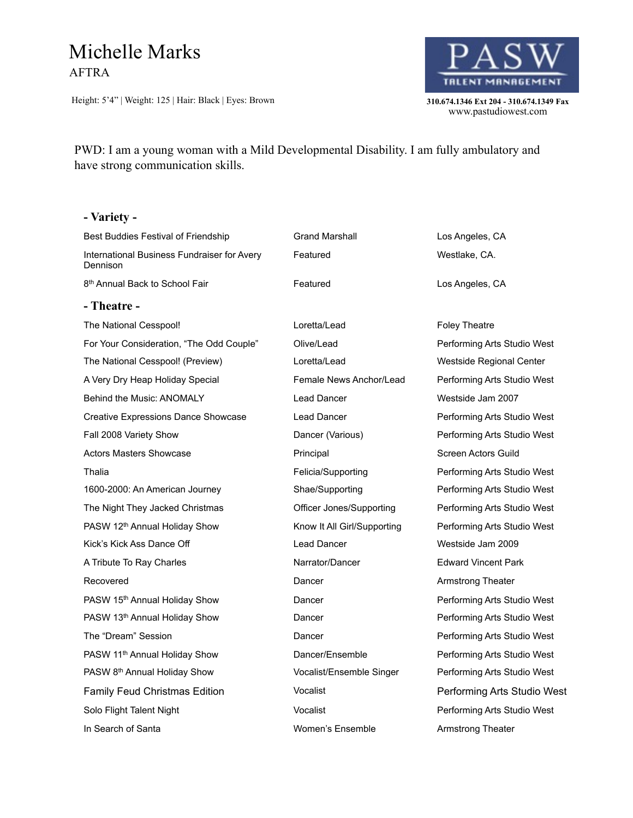## Michelle Marks AFTRA

Height: 5'4" | Weight: 125 | Hair: Black | Eyes: Brown **310.674.1346 Ext 204 - 310.674.1349 Fax** 



310.674.1346 Ext 204 - 310.674.1349 Fax<br>www.pastudiowest.com

## PWD: I am a young woman with a Mild Developmental Disability. I am fully ambulatory and have strong communication skills.

#### **- Variety -**

| Best Buddies Festival of Friendship                     | <b>Grand Marshall</b>       | Los Angeles, CA             |
|---------------------------------------------------------|-----------------------------|-----------------------------|
| International Business Fundraiser for Avery<br>Dennison | Featured                    | Westlake, CA.               |
| 8 <sup>th</sup> Annual Back to School Fair              | Featured                    | Los Angeles, CA             |
| - Theatre -                                             |                             |                             |
| The National Cesspool!                                  | Loretta/Lead                | <b>Foley Theatre</b>        |
| For Your Consideration, "The Odd Couple"                | Olive/Lead                  | Performing Arts Studio West |
| The National Cesspool! (Preview)                        | Loretta/Lead                | Westside Regional Center    |
| A Very Dry Heap Holiday Special                         | Female News Anchor/Lead     | Performing Arts Studio West |
| <b>Behind the Music: ANOMALY</b>                        | Lead Dancer                 | Westside Jam 2007           |
| Creative Expressions Dance Showcase                     | <b>Lead Dancer</b>          | Performing Arts Studio West |
| Fall 2008 Variety Show                                  | Dancer (Various)            | Performing Arts Studio West |
| <b>Actors Masters Showcase</b>                          | Principal                   | Screen Actors Guild         |
| Thalia                                                  | Felicia/Supporting          | Performing Arts Studio West |
| 1600-2000: An American Journey                          | Shae/Supporting             | Performing Arts Studio West |
| The Night They Jacked Christmas                         | Officer Jones/Supporting    | Performing Arts Studio West |
| PASW 12th Annual Holiday Show                           | Know It All Girl/Supporting | Performing Arts Studio West |
| Kick's Kick Ass Dance Off                               | <b>Lead Dancer</b>          | Westside Jam 2009           |
| A Tribute To Ray Charles                                | Narrator/Dancer             | <b>Edward Vincent Park</b>  |
| Recovered                                               | Dancer                      | Armstrong Theater           |
| PASW 15th Annual Holiday Show                           | Dancer                      | Performing Arts Studio West |
| PASW 13 <sup>th</sup> Annual Holiday Show               | Dancer                      | Performing Arts Studio West |
| The "Dream" Session                                     | Dancer                      | Performing Arts Studio West |
| PASW 11 <sup>th</sup> Annual Holiday Show               | Dancer/Ensemble             | Performing Arts Studio West |
| PASW 8th Annual Holiday Show                            | Vocalist/Ensemble Singer    | Performing Arts Studio West |
| <b>Family Feud Christmas Edition</b>                    | Vocalist                    | Performing Arts Studio West |
| Solo Flight Talent Night                                | Vocalist                    | Performing Arts Studio West |
| In Search of Santa                                      | Women's Ensemble            | Armstrong Theater           |